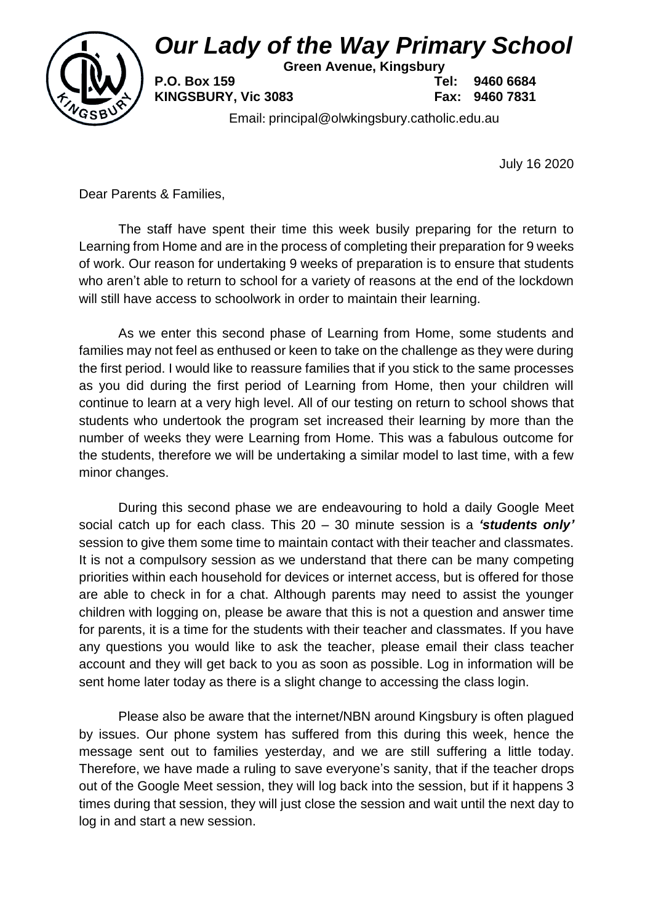# *Our Lady of the Way Primary School*



**Green Avenue, Kingsbury**

**P.O. Box 159 Tel: 9460 6684**

**KINGSBURY, Vic 3083 Fax: 9460 7831**

Email: principal@olwkingsbury.catholic.edu.au

July 16 2020

Dear Parents & Families,

The staff have spent their time this week busily preparing for the return to Learning from Home and are in the process of completing their preparation for 9 weeks of work. Our reason for undertaking 9 weeks of preparation is to ensure that students who aren't able to return to school for a variety of reasons at the end of the lockdown will still have access to schoolwork in order to maintain their learning.

As we enter this second phase of Learning from Home, some students and families may not feel as enthused or keen to take on the challenge as they were during the first period. I would like to reassure families that if you stick to the same processes as you did during the first period of Learning from Home, then your children will continue to learn at a very high level. All of our testing on return to school shows that students who undertook the program set increased their learning by more than the number of weeks they were Learning from Home. This was a fabulous outcome for the students, therefore we will be undertaking a similar model to last time, with a few minor changes.

During this second phase we are endeavouring to hold a daily Google Meet social catch up for each class. This 20 – 30 minute session is a *'students only'* session to give them some time to maintain contact with their teacher and classmates. It is not a compulsory session as we understand that there can be many competing priorities within each household for devices or internet access, but is offered for those are able to check in for a chat. Although parents may need to assist the younger children with logging on, please be aware that this is not a question and answer time for parents, it is a time for the students with their teacher and classmates. If you have any questions you would like to ask the teacher, please email their class teacher account and they will get back to you as soon as possible. Log in information will be sent home later today as there is a slight change to accessing the class login.

Please also be aware that the internet/NBN around Kingsbury is often plagued by issues. Our phone system has suffered from this during this week, hence the message sent out to families yesterday, and we are still suffering a little today. Therefore, we have made a ruling to save everyone's sanity, that if the teacher drops out of the Google Meet session, they will log back into the session, but if it happens 3 times during that session, they will just close the session and wait until the next day to log in and start a new session.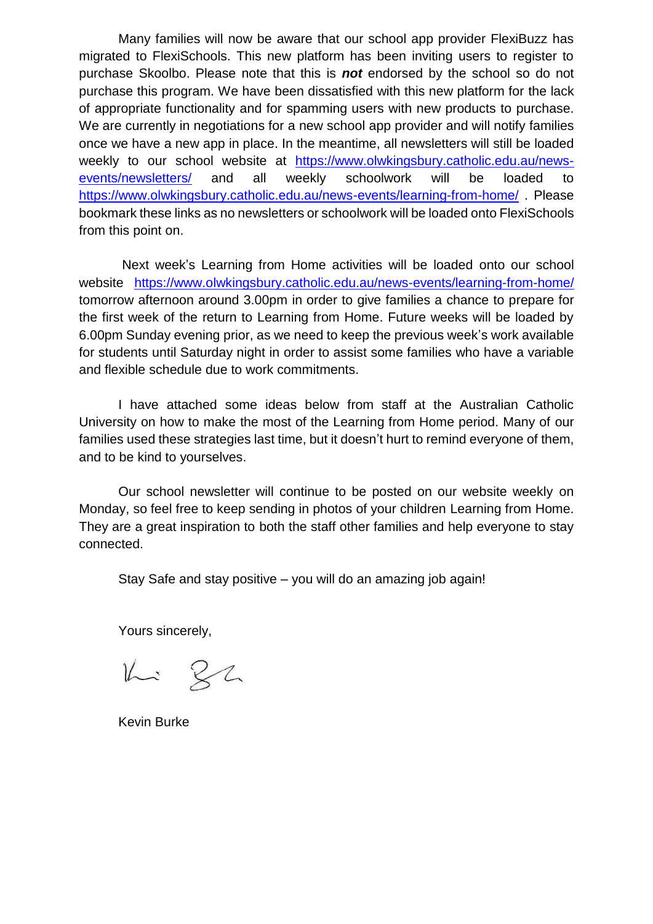Many families will now be aware that our school app provider FlexiBuzz has migrated to FlexiSchools. This new platform has been inviting users to register to purchase Skoolbo. Please note that this is *not* endorsed by the school so do not purchase this program. We have been dissatisfied with this new platform for the lack of appropriate functionality and for spamming users with new products to purchase. We are currently in negotiations for a new school app provider and will notify families once we have a new app in place. In the meantime, all newsletters will still be loaded weekly to our school website at [https://www.olwkingsbury.catholic.edu.au/news](https://www.olwkingsbury.catholic.edu.au/news-events/newsletters/)[events/newsletters/](https://www.olwkingsbury.catholic.edu.au/news-events/newsletters/) and all weekly schoolwork will be loaded to <https://www.olwkingsbury.catholic.edu.au/news-events/learning-from-home/> . Please bookmark these links as no newsletters or schoolwork will be loaded onto FlexiSchools from this point on.

Next week's Learning from Home activities will be loaded onto our school website <https://www.olwkingsbury.catholic.edu.au/news-events/learning-from-home/> tomorrow afternoon around 3.00pm in order to give families a chance to prepare for the first week of the return to Learning from Home. Future weeks will be loaded by 6.00pm Sunday evening prior, as we need to keep the previous week's work available for students until Saturday night in order to assist some families who have a variable and flexible schedule due to work commitments.

I have attached some ideas below from staff at the Australian Catholic University on how to make the most of the Learning from Home period. Many of our families used these strategies last time, but it doesn't hurt to remind everyone of them, and to be kind to yourselves.

Our school newsletter will continue to be posted on our website weekly on Monday, so feel free to keep sending in photos of your children Learning from Home. They are a great inspiration to both the staff other families and help everyone to stay connected.

Stay Safe and stay positive – you will do an amazing job again!

Yours sincerely,

 $1432$ 

Kevin Burke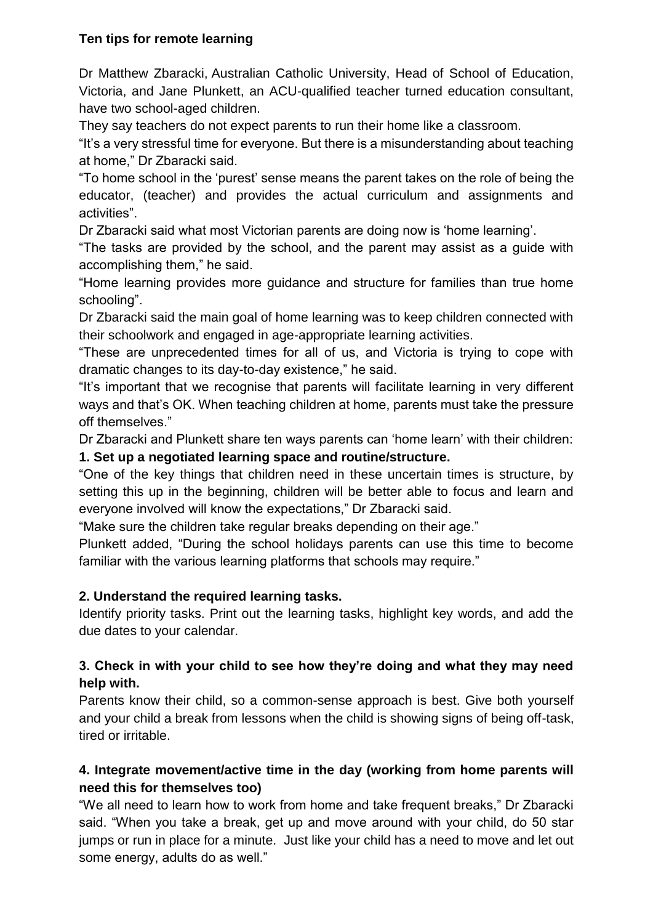## **Ten tips for remote learning**

Dr Matthew Zbaracki, Australian Catholic University, Head of School of Education, Victoria, and Jane Plunkett, an ACU-qualified teacher turned education consultant, have two school-aged children.

They say teachers do not expect parents to run their home like a classroom.

"It's a very stressful time for everyone. But there is a misunderstanding about teaching at home," Dr Zbaracki said.

"To home school in the 'purest' sense means the parent takes on the role of being the educator, (teacher) and provides the actual curriculum and assignments and activities".

Dr Zbaracki said what most Victorian parents are doing now is 'home learning'.

"The tasks are provided by the school, and the parent may assist as a guide with accomplishing them," he said.

"Home learning provides more guidance and structure for families than true home schooling".

Dr Zbaracki said the main goal of home learning was to keep children connected with their schoolwork and engaged in age-appropriate learning activities.

"These are unprecedented times for all of us, and Victoria is trying to cope with dramatic changes to its day-to-day existence," he said.

"It's important that we recognise that parents will facilitate learning in very different ways and that's OK. When teaching children at home, parents must take the pressure off themselves."

Dr Zbaracki and Plunkett share ten ways parents can 'home learn' with their children:

## **1. Set up a negotiated learning space and routine/structure.**

"One of the key things that children need in these uncertain times is structure, by setting this up in the beginning, children will be better able to focus and learn and everyone involved will know the expectations," Dr Zbaracki said.

"Make sure the children take regular breaks depending on their age."

Plunkett added, "During the school holidays parents can use this time to become familiar with the various learning platforms that schools may require."

#### **2. Understand the required learning tasks.**

Identify priority tasks. Print out the learning tasks, highlight key words, and add the due dates to your calendar.

# **3. Check in with your child to see how they're doing and what they may need help with.**

Parents know their child, so a common-sense approach is best. Give both yourself and your child a break from lessons when the child is showing signs of being off-task, tired or irritable.

# **4. Integrate movement/active time in the day (working from home parents will need this for themselves too)**

"We all need to learn how to work from home and take frequent breaks," Dr Zbaracki said. "When you take a break, get up and move around with your child, do 50 star jumps or run in place for a minute. Just like your child has a need to move and let out some energy, adults do as well."